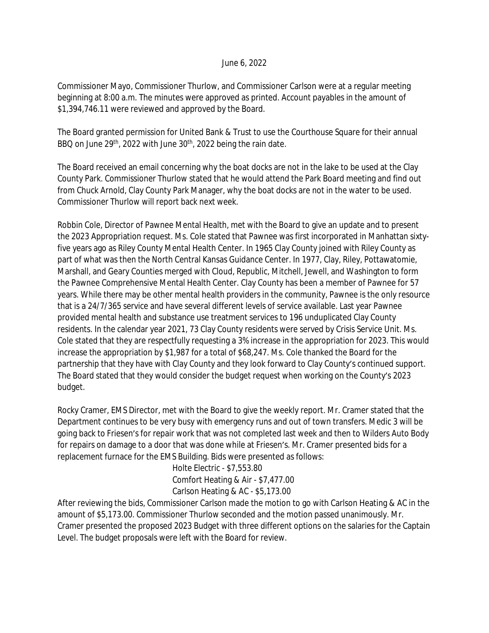## June 6, 2022

Commissioner Mayo, Commissioner Thurlow, and Commissioner Carlson were at a regular meeting beginning at 8:00 a.m. The minutes were approved as printed. Account payables in the amount of \$1,394,746.11 were reviewed and approved by the Board.

The Board granted permission for United Bank & Trust to use the Courthouse Square for their annual BBQ on June 29<sup>th</sup>, 2022 with June 30<sup>th</sup>, 2022 being the rain date.

The Board received an email concerning why the boat docks are not in the lake to be used at the Clay County Park. Commissioner Thurlow stated that he would attend the Park Board meeting and find out from Chuck Arnold, Clay County Park Manager, why the boat docks are not in the water to be used. Commissioner Thurlow will report back next week.

Robbin Cole, Director of Pawnee Mental Health, met with the Board to give an update and to present the 2023 Appropriation request. Ms. Cole stated that Pawnee was first incorporated in Manhattan sixtyfive years ago as Riley County Mental Health Center. In 1965 Clay County joined with Riley County as part of what was then the North Central Kansas Guidance Center. In 1977, Clay, Riley, Pottawatomie, Marshall, and Geary Counties merged with Cloud, Republic, Mitchell, Jewell, and Washington to form the Pawnee Comprehensive Mental Health Center. Clay County has been a member of Pawnee for 57 years. While there may be other mental health providers in the community, Pawnee is the only resource that is a 24/7/365 service and have several different levels of service available. Last year Pawnee provided mental health and substance use treatment services to 196 unduplicated Clay County residents. In the calendar year 2021, 73 Clay County residents were served by Crisis Service Unit. Ms. Cole stated that they are respectfully requesting a 3% increase in the appropriation for 2023. This would increase the appropriation by \$1,987 for a total of \$68,247. Ms. Cole thanked the Board for the partnership that they have with Clay County and they look forward to Clay County's continued support. The Board stated that they would consider the budget request when working on the County's 2023 budget.

Rocky Cramer, EMS Director, met with the Board to give the weekly report. Mr. Cramer stated that the Department continues to be very busy with emergency runs and out of town transfers. Medic 3 will be going back to Friesen's for repair work that was not completed last week and then to Wilders Auto Body for repairs on damage to a door that was done while at Friesen's. Mr. Cramer presented bids for a replacement furnace for the EMS Building. Bids were presented as follows:

> Holte Electric - \$7,553.80 Comfort Heating & Air - \$7,477.00 Carlson Heating & AC - \$5,173.00

After reviewing the bids, Commissioner Carlson made the motion to go with Carlson Heating & AC in the amount of \$5,173.00. Commissioner Thurlow seconded and the motion passed unanimously. Mr. Cramer presented the proposed 2023 Budget with three different options on the salaries for the Captain Level. The budget proposals were left with the Board for review.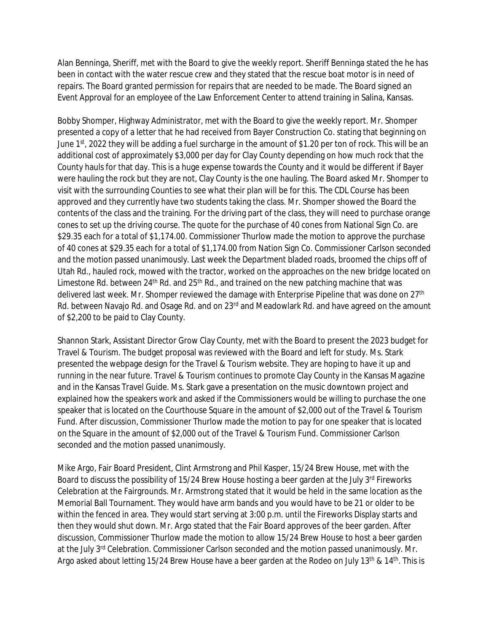Alan Benninga, Sheriff, met with the Board to give the weekly report. Sheriff Benninga stated the he has been in contact with the water rescue crew and they stated that the rescue boat motor is in need of repairs. The Board granted permission for repairs that are needed to be made. The Board signed an Event Approval for an employee of the Law Enforcement Center to attend training in Salina, Kansas.

Bobby Shomper, Highway Administrator, met with the Board to give the weekly report. Mr. Shomper presented a copy of a letter that he had received from Bayer Construction Co. stating that beginning on June 1<sup>st</sup>, 2022 they will be adding a fuel surcharge in the amount of \$1.20 per ton of rock. This will be an additional cost of approximately \$3,000 per day for Clay County depending on how much rock that the County hauls for that day. This is a huge expense towards the County and it would be different if Bayer were hauling the rock but they are not, Clay County is the one hauling. The Board asked Mr. Shomper to visit with the surrounding Counties to see what their plan will be for this. The CDL Course has been approved and they currently have two students taking the class. Mr. Shomper showed the Board the contents of the class and the training. For the driving part of the class, they will need to purchase orange cones to set up the driving course. The quote for the purchase of 40 cones from National Sign Co. are \$29.35 each for a total of \$1,174.00. Commissioner Thurlow made the motion to approve the purchase of 40 cones at \$29.35 each for a total of \$1,174.00 from Nation Sign Co. Commissioner Carlson seconded and the motion passed unanimously. Last week the Department bladed roads, broomed the chips off of Utah Rd., hauled rock, mowed with the tractor, worked on the approaches on the new bridge located on Limestone Rd. between  $24<sup>th</sup>$  Rd. and  $25<sup>th</sup>$  Rd., and trained on the new patching machine that was delivered last week. Mr. Shomper reviewed the damage with Enterprise Pipeline that was done on 27<sup>th</sup> Rd. between Navajo Rd. and Osage Rd. and on 23rd and Meadowlark Rd. and have agreed on the amount of \$2,200 to be paid to Clay County.

Shannon Stark, Assistant Director Grow Clay County, met with the Board to present the 2023 budget for Travel & Tourism. The budget proposal was reviewed with the Board and left for study. Ms. Stark presented the webpage design for the Travel & Tourism website. They are hoping to have it up and running in the near future. Travel & Tourism continues to promote Clay County in the Kansas Magazine and in the Kansas Travel Guide. Ms. Stark gave a presentation on the music downtown project and explained how the speakers work and asked if the Commissioners would be willing to purchase the one speaker that is located on the Courthouse Square in the amount of \$2,000 out of the Travel & Tourism Fund. After discussion, Commissioner Thurlow made the motion to pay for one speaker that is located on the Square in the amount of \$2,000 out of the Travel & Tourism Fund. Commissioner Carlson seconded and the motion passed unanimously.

Mike Argo, Fair Board President, Clint Armstrong and Phil Kasper, 15/24 Brew House, met with the Board to discuss the possibility of 15/24 Brew House hosting a beer garden at the July 3rd Fireworks Celebration at the Fairgrounds. Mr. Armstrong stated that it would be held in the same location as the Memorial Ball Tournament. They would have arm bands and you would have to be 21 or older to be within the fenced in area. They would start serving at 3:00 p.m. until the Fireworks Display starts and then they would shut down. Mr. Argo stated that the Fair Board approves of the beer garden. After discussion, Commissioner Thurlow made the motion to allow 15/24 Brew House to host a beer garden at the July 3<sup>rd</sup> Celebration. Commissioner Carlson seconded and the motion passed unanimously. Mr. Argo asked about letting 15/24 Brew House have a beer garden at the Rodeo on July 13<sup>th</sup> & 14<sup>th</sup>. This is